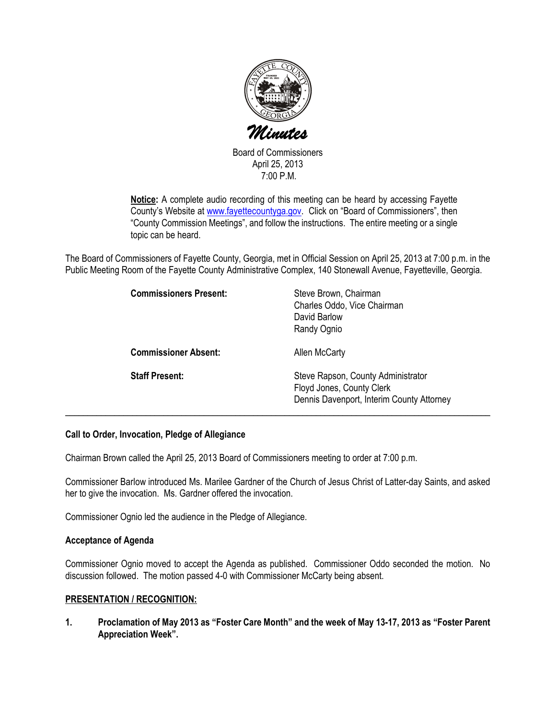

Board of Commissioners April 25, 2013 7:00 P.M.

Notice: A complete audio recording of this meeting can be heard by accessing Fayette County's Website at www.fayettecountyga.gov. Click on "Board of Commissioners", then "County Commission Meetings", and follow the instructions. The entire meeting or a single topic can be heard.

The Board of Commissioners of Fayette County, Georgia, met in Official Session on April 25, 2013 at 7:00 p.m. in the Public Meeting Room of the Fayette County Administrative Complex, 140 Stonewall Avenue, Fayetteville, Georgia.

| <b>Commissioners Present:</b> | Steve Brown, Chairman<br>Charles Oddo, Vice Chairman<br>David Barlow<br>Randy Ognio                          |
|-------------------------------|--------------------------------------------------------------------------------------------------------------|
| <b>Commissioner Absent:</b>   | <b>Allen McCarty</b>                                                                                         |
| <b>Staff Present:</b>         | Steve Rapson, County Administrator<br>Floyd Jones, County Clerk<br>Dennis Davenport, Interim County Attorney |

# Call to Order, Invocation, Pledge of Allegiance

Chairman Brown called the April 25, 2013 Board of Commissioners meeting to order at 7:00 p.m.

Commissioner Barlow introduced Ms. Marilee Gardner of the Church of Jesus Christ of Latter-day Saints, and asked her to give the invocation. Ms. Gardner offered the invocation.

Commissioner Ognio led the audience in the Pledge of Allegiance.

### Acceptance of Agenda

Commissioner Ognio moved to accept the Agenda as published. Commissioner Oddo seconded the motion. No discussion followed. The motion passed 4-0 with Commissioner McCarty being absent.

### PRESENTATION / RECOGNITION:

1. Proclamation of May 2013 as "Foster Care Month" and the week of May 13-17, 2013 as "Foster Parent Appreciation Week".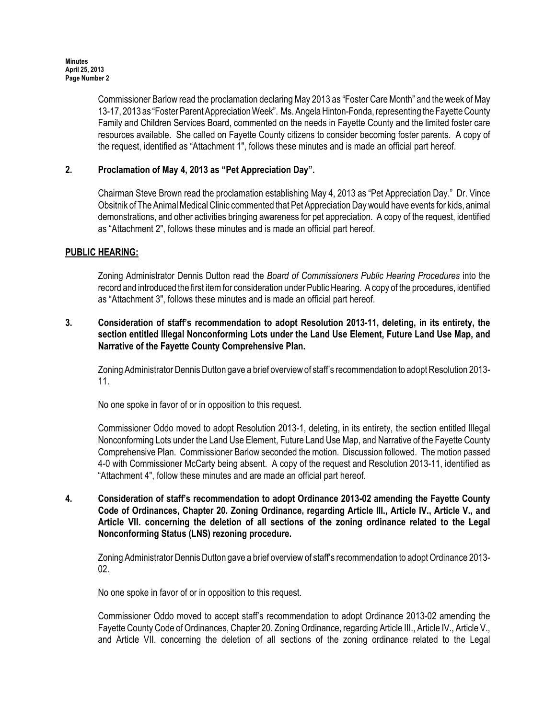Commissioner Barlow read the proclamation declaring May 2013 as "Foster Care Month" and the week of May 13-17, 2013 as "Foster Parent Appreciation Week". Ms. Angela Hinton-Fonda, representing the Fayette County Family and Children Services Board, commented on the needs in Fayette County and the limited foster care resources available. She called on Fayette County citizens to consider becoming foster parents. A copy of the request, identified as "Attachment 1", follows these minutes and is made an official part hereof.

# 2. Proclamation of May 4, 2013 as "Pet Appreciation Day".

Chairman Steve Brown read the proclamation establishing May 4, 2013 as "Pet Appreciation Day." Dr. Vince Obsitnik of The Animal Medical Clinic commented that Pet Appreciation Day would have events for kids, animal demonstrations, and other activities bringing awareness for pet appreciation. A copy of the request, identified as "Attachment 2", follows these minutes and is made an official part hereof.

# PUBLIC HEARING:

Zoning Administrator Dennis Dutton read the Board of Commissioners Public Hearing Procedures into the record and introduced the first item for consideration under Public Hearing. A copy of the procedures, identified as "Attachment 3", follows these minutes and is made an official part hereof.

# 3. Consideration of staff's recommendation to adopt Resolution 2013-11, deleting, in its entirety, the section entitled Illegal Nonconforming Lots under the Land Use Element, Future Land Use Map, and Narrative of the Fayette County Comprehensive Plan.

Zoning Administrator Dennis Dutton gave a brief overview of staff's recommendation to adopt Resolution 2013- 11.

No one spoke in favor of or in opposition to this request.

Commissioner Oddo moved to adopt Resolution 2013-1, deleting, in its entirety, the section entitled Illegal Nonconforming Lots under the Land Use Element, Future Land Use Map, and Narrative of the Fayette County Comprehensive Plan. Commissioner Barlow seconded the motion. Discussion followed. The motion passed 4-0 with Commissioner McCarty being absent. A copy of the request and Resolution 2013-11, identified as "Attachment 4", follow these minutes and are made an official part hereof.

4. Consideration of staff's recommendation to adopt Ordinance 2013-02 amending the Fayette County Code of Ordinances, Chapter 20. Zoning Ordinance, regarding Article III., Article IV., Article V., and Article VII. concerning the deletion of all sections of the zoning ordinance related to the Legal Nonconforming Status (LNS) rezoning procedure.

Zoning Administrator Dennis Dutton gave a brief overview of staff's recommendation to adopt Ordinance 2013- 02.

No one spoke in favor of or in opposition to this request.

Commissioner Oddo moved to accept staff's recommendation to adopt Ordinance 2013-02 amending the Fayette County Code of Ordinances, Chapter 20. Zoning Ordinance, regarding Article III., Article IV., Article V., and Article VII. concerning the deletion of all sections of the zoning ordinance related to the Legal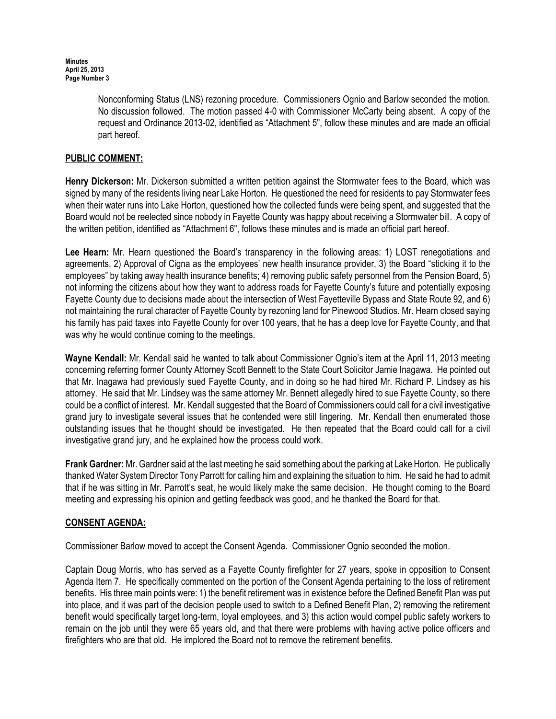Nonconforming Status (LNS) rezoning procedure. Commissioners Ognio and Barlow seconded the motion. No discussion followed. The motion passed 4-0 with Commissioner McCarty being absent. A copy of the request and Ordinance 2013-02, identified as "Attachment 5", follow these minutes and are made an official part hereof.

# PUBLIC COMMENT:

Henry Dickerson: Mr. Dickerson submitted a written petition against the Stormwater fees to the Board, which was signed by many of the residents living near Lake Horton. He questioned the need for residents to pay Stormwater fees when their water runs into Lake Horton, questioned how the collected funds were being spent, and suggested that the Board would not be reelected since nobody in Fayette County was happy about receiving a Stormwater bill. A copy of the written petition, identified as "Attachment 6", follows these minutes and is made an official part hereof.

Lee Hearn: Mr. Hearn questioned the Board's transparency in the following areas: 1) LOST renegotiations and agreements, 2) Approval of Cigna as the employees' new health insurance provider, 3) the Board "sticking it to the employees" by taking away health insurance benefits; 4) removing public safety personnel from the Pension Board, 5) not informing the citizens about how they want to address roads for Fayette County's future and potentially exposing Fayette County due to decisions made about the intersection of West Fayetteville Bypass and State Route 92, and 6) not maintaining the rural character of Fayette County by rezoning land for Pinewood Studios. Mr. Hearn closed saying his family has paid taxes into Fayette County for over 100 years, that he has a deep love for Fayette County, and that was why he would continue coming to the meetings.

Wayne Kendall: Mr. Kendall said he wanted to talk about Commissioner Ognio's item at the April 11, 2013 meeting concerning referring former County Attorney Scott Bennett to the State Court Solicitor Jamie Inagawa. He pointed out that Mr. Inagawa had previously sued Fayette County, and in doing so he had hired Mr. Richard P. Lindsey as his attorney. He said that Mr. Lindsey was the same attorney Mr. Bennett allegedly hired to sue Fayette County, so there could be a conflict of interest. Mr. Kendall suggested that the Board of Commissioners could call for a civil investigative grand jury to investigate several issues that he contended were still lingering. Mr. Kendall then enumerated those outstanding issues that he thought should be investigated. He then repeated that the Board could call for a civil investigative grand jury, and he explained how the process could work.

Frank Gardner: Mr. Gardner said at the last meeting he said something about the parking at Lake Horton. He publically thanked Water System Director Tony Parrott for calling him and explaining the situation to him. He said he had to admit that if he was sitting in Mr. Parrott's seat, he would likely make the same decision. He thought coming to the Board meeting and expressing his opinion and getting feedback was good, and he thanked the Board for that.

# CONSENT AGENDA:

Commissioner Barlow moved to accept the Consent Agenda. Commissioner Ognio seconded the motion.

Captain Doug Morris, who has served as a Fayette County firefighter for 27 years, spoke in opposition to Consent Agenda Item 7. He specifically commented on the portion of the Consent Agenda pertaining to the loss of retirement benefits. His three main points were: 1) the benefit retirement was in existence before the Defined Benefit Plan was put into place, and it was part of the decision people used to switch to a Defined Benefit Plan, 2) removing the retirement benefit would specifically target long-term, loyal employees, and 3) this action would compel public safety workers to remain on the job until they were 65 years old, and that there were problems with having active police officers and firefighters who are that old. He implored the Board not to remove the retirement benefits.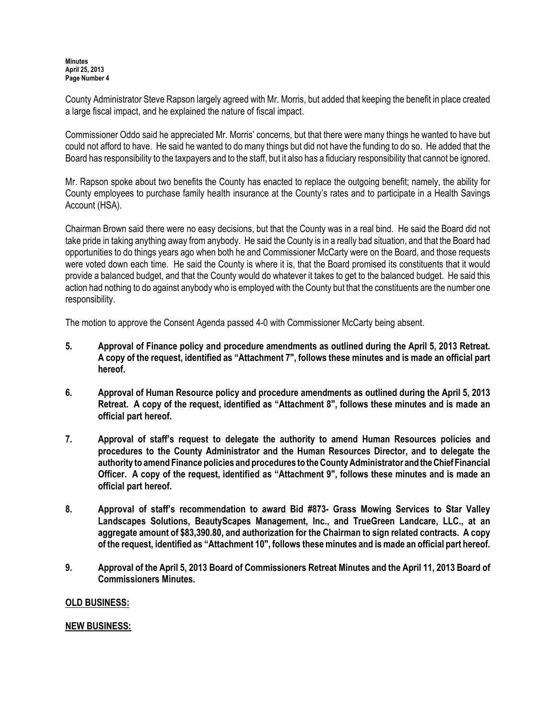County Administrator Steve Rapson largely agreed with Mr. Morris, but added that keeping the benefit in place created a large fiscal impact, and he explained the nature of fiscal impact.

Commissioner Oddo said he appreciated Mr. Morris' concerns, but that there were many things he wanted to have but could not afford to have. He said he wanted to do many things but did not have the funding to do so. He added that the Board has responsibility to the taxpayers and to the staff, but it also has a fiduciary responsibility that cannot be ignored.

Mr. Rapson spoke about two benefits the County has enacted to replace the outgoing benefit; namely, the ability for County employees to purchase family health insurance at the County's rates and to participate in a Health Savings Account (HSA).

Chairman Brown said there were no easy decisions, but that the County was in a real bind. He said the Board did not take pride in taking anything away from anybody. He said the County is in a really bad situation, and that the Board had opportunities to do things years ago when both he and Commissioner McCarty were on the Board, and those requests were voted down each time. He said the County is where it is, that the Board promised its constituents that it would provide a balanced budget, and that the County would do whatever it takes to get to the balanced budget. He said this action had nothing to do against anybody who is employed with the County but that the constituents are the number one responsibility.

The motion to approve the Consent Agenda passed 4-0 with Commissioner McCarty being absent.

- 5. Approval of Finance policy and procedure amendments as outlined during the April 5, 2013 Retreat. A copy of the request, identified as "Attachment 7", follows these minutes and is made an official part hereof.
- 6. Approval of Human Resource policy and procedure amendments as outlined during the April 5, 2013 Retreat. A copy of the request, identified as "Attachment 8", follows these minutes and is made an official part hereof.
- 7. Approval of staff's request to delegate the authority to amend Human Resources policies and procedures to the County Administrator and the Human Resources Director, and to delegate the authority to amend Finance policies and procedures to the County Administrator and the Chief Financial Officer. A copy of the request, identified as "Attachment 9", follows these minutes and is made an official part hereof.
- 8. Approval of staff's recommendation to award Bid #873- Grass Mowing Services to Star Valley Landscapes Solutions, BeautyScapes Management, Inc., and TrueGreen Landcare, LLC., at an aggregate amount of \$83,390.80, and authorization for the Chairman to sign related contracts. A copy of the request, identified as "Attachment 10", follows these minutes and is made an official part hereof.
- 9. Approval of the April 5, 2013 Board of Commissioners Retreat Minutes and the April 11, 2013 Board of Commissioners Minutes.

### OLD BUSINESS:

### NEW BUSINESS: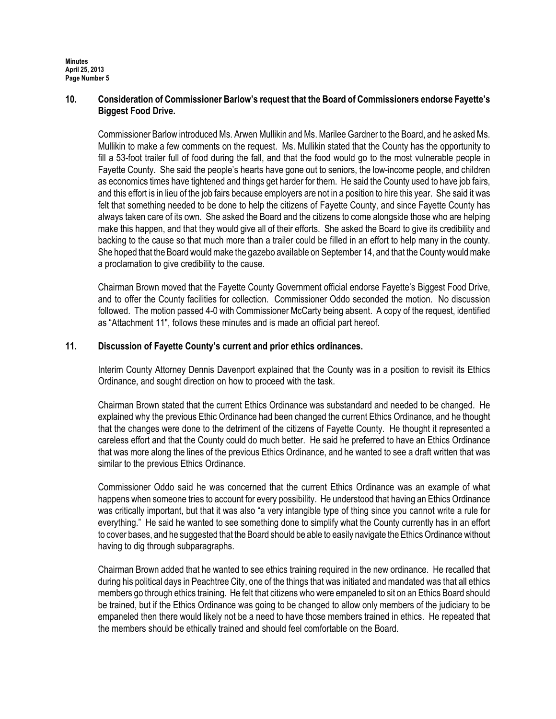### 10. Consideration of Commissioner Barlow's request that the Board of Commissioners endorse Fayette's Biggest Food Drive.

Commissioner Barlow introduced Ms. Arwen Mullikin and Ms. Marilee Gardner to the Board, and he asked Ms. Mullikin to make a few comments on the request. Ms. Mullikin stated that the County has the opportunity to fill a 53-foot trailer full of food during the fall, and that the food would go to the most vulnerable people in Fayette County. She said the people's hearts have gone out to seniors, the low-income people, and children as economics times have tightened and things get harder for them. He said the County used to have job fairs, and this effort is in lieu of the job fairs because employers are not in a position to hire this year. She said it was felt that something needed to be done to help the citizens of Fayette County, and since Fayette County has always taken care of its own. She asked the Board and the citizens to come alongside those who are helping make this happen, and that they would give all of their efforts. She asked the Board to give its credibility and backing to the cause so that much more than a trailer could be filled in an effort to help many in the county. She hoped that the Board would make the gazebo available on September 14, and that the County would make a proclamation to give credibility to the cause.

Chairman Brown moved that the Fayette County Government official endorse Fayette's Biggest Food Drive, and to offer the County facilities for collection. Commissioner Oddo seconded the motion. No discussion followed. The motion passed 4-0 with Commissioner McCarty being absent. A copy of the request, identified as "Attachment 11", follows these minutes and is made an official part hereof.

### 11. Discussion of Fayette County's current and prior ethics ordinances.

Interim County Attorney Dennis Davenport explained that the County was in a position to revisit its Ethics Ordinance, and sought direction on how to proceed with the task.

Chairman Brown stated that the current Ethics Ordinance was substandard and needed to be changed. He explained why the previous Ethic Ordinance had been changed the current Ethics Ordinance, and he thought that the changes were done to the detriment of the citizens of Fayette County. He thought it represented a careless effort and that the County could do much better. He said he preferred to have an Ethics Ordinance that was more along the lines of the previous Ethics Ordinance, and he wanted to see a draft written that was similar to the previous Ethics Ordinance.

Commissioner Oddo said he was concerned that the current Ethics Ordinance was an example of what happens when someone tries to account for every possibility. He understood that having an Ethics Ordinance was critically important, but that it was also "a very intangible type of thing since you cannot write a rule for everything." He said he wanted to see something done to simplify what the County currently has in an effort to cover bases, and he suggested that the Board should be able to easily navigate the Ethics Ordinance without having to dig through subparagraphs.

Chairman Brown added that he wanted to see ethics training required in the new ordinance. He recalled that during his political days in Peachtree City, one of the things that was initiated and mandated was that all ethics members go through ethics training. He felt that citizens who were empaneled to sit on an Ethics Board should be trained, but if the Ethics Ordinance was going to be changed to allow only members of the judiciary to be empaneled then there would likely not be a need to have those members trained in ethics. He repeated that the members should be ethically trained and should feel comfortable on the Board.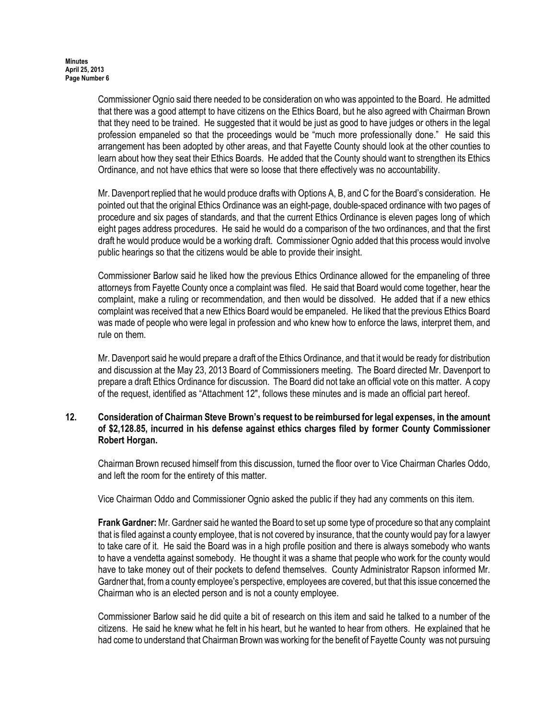Commissioner Ognio said there needed to be consideration on who was appointed to the Board. He admitted that there was a good attempt to have citizens on the Ethics Board, but he also agreed with Chairman Brown that they need to be trained. He suggested that it would be just as good to have judges or others in the legal profession empaneled so that the proceedings would be "much more professionally done." He said this arrangement has been adopted by other areas, and that Fayette County should look at the other counties to learn about how they seat their Ethics Boards. He added that the County should want to strengthen its Ethics Ordinance, and not have ethics that were so loose that there effectively was no accountability.

Mr. Davenport replied that he would produce drafts with Options A, B, and C for the Board's consideration. He pointed out that the original Ethics Ordinance was an eight-page, double-spaced ordinance with two pages of procedure and six pages of standards, and that the current Ethics Ordinance is eleven pages long of which eight pages address procedures. He said he would do a comparison of the two ordinances, and that the first draft he would produce would be a working draft. Commissioner Ognio added that this process would involve public hearings so that the citizens would be able to provide their insight.

Commissioner Barlow said he liked how the previous Ethics Ordinance allowed for the empaneling of three attorneys from Fayette County once a complaint was filed. He said that Board would come together, hear the complaint, make a ruling or recommendation, and then would be dissolved. He added that if a new ethics complaint was received that a new Ethics Board would be empaneled. He liked that the previous Ethics Board was made of people who were legal in profession and who knew how to enforce the laws, interpret them, and rule on them.

Mr. Davenport said he would prepare a draft of the Ethics Ordinance, and that it would be ready for distribution and discussion at the May 23, 2013 Board of Commissioners meeting. The Board directed Mr. Davenport to prepare a draft Ethics Ordinance for discussion. The Board did not take an official vote on this matter. A copy of the request, identified as "Attachment 12", follows these minutes and is made an official part hereof.

# 12. Consideration of Chairman Steve Brown's request to be reimbursed for legal expenses, in the amount of \$2,128.85, incurred in his defense against ethics charges filed by former County Commissioner Robert Horgan.

Chairman Brown recused himself from this discussion, turned the floor over to Vice Chairman Charles Oddo, and left the room for the entirety of this matter.

Vice Chairman Oddo and Commissioner Ognio asked the public if they had any comments on this item.

Frank Gardner: Mr. Gardner said he wanted the Board to set up some type of procedure so that any complaint that is filed against a county employee, that is not covered by insurance, that the county would pay for a lawyer to take care of it. He said the Board was in a high profile position and there is always somebody who wants to have a vendetta against somebody. He thought it was a shame that people who work for the county would have to take money out of their pockets to defend themselves. County Administrator Rapson informed Mr. Gardner that, from a county employee's perspective, employees are covered, but that this issue concerned the Chairman who is an elected person and is not a county employee.

Commissioner Barlow said he did quite a bit of research on this item and said he talked to a number of the citizens. He said he knew what he felt in his heart, but he wanted to hear from others. He explained that he had come to understand that Chairman Brown was working for the benefit of Fayette County was not pursuing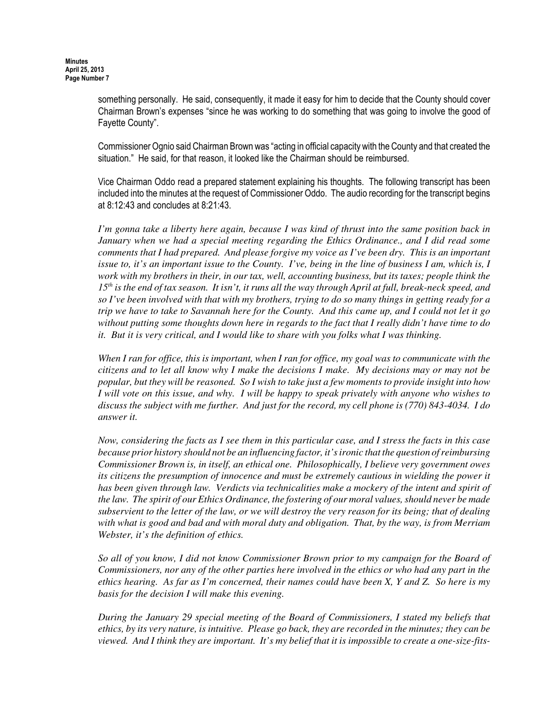something personally. He said, consequently, it made it easy for him to decide that the County should cover Chairman Brown's expenses "since he was working to do something that was going to involve the good of Fayette County".

Commissioner Ognio said Chairman Brown was "acting in official capacity with the County and that created the situation." He said, for that reason, it looked like the Chairman should be reimbursed.

Vice Chairman Oddo read a prepared statement explaining his thoughts. The following transcript has been included into the minutes at the request of Commissioner Oddo. The audio recording for the transcript begins at 8:12:43 and concludes at 8:21:43.

*I'm gonna take a liberty here again, because I was kind of thrust into the same position back in January when we had a special meeting regarding the Ethics Ordinance., and I did read some comments that I had prepared. And please forgive my voice as I've been dry. This is an important issue to, it's an important issue to the County. I've, being in the line of business I am, which is, I work with my brothers in their, in our tax, well, accounting business, but its taxes; people think the 15th is the end of tax season. It isn't, it runs all the way through April at full, break-neck speed, and so I've been involved with that with my brothers, trying to do so many things in getting ready for a trip we have to take to Savannah here for the County. And this came up, and I could not let it go without putting some thoughts down here in regards to the fact that I really didn't have time to do it. But it is very critical, and I would like to share with you folks what I was thinking.*

*When I ran for office, this is important, when I ran for office, my goal was to communicate with the citizens and to let all know why I make the decisions I make. My decisions may or may not be popular, but they will be reasoned. So I wish to take just a few moments to provide insight into how I will vote on this issue, and why. I will be happy to speak privately with anyone who wishes to discuss the subject with me further. And just for the record, my cell phone is (770) 843-4034. I do answer it.*

*Now, considering the facts as I see them in this particular case, and I stress the facts in this case because prior history should not be an influencing factor, it's ironic that the question of reimbursing Commissioner Brown is, in itself, an ethical one. Philosophically, I believe very government owes its citizens the presumption of innocence and must be extremely cautious in wielding the power it has been given through law. Verdicts via technicalities make a mockery of the intent and spirit of the law. The spirit of our Ethics Ordinance, the fostering of our moral values, should never be made subservient to the letter of the law, or we will destroy the very reason for its being; that of dealing with what is good and bad and with moral duty and obligation. That, by the way, is from Merriam Webster, it's the definition of ethics.* 

*So all of you know, I did not know Commissioner Brown prior to my campaign for the Board of Commissioners, nor any of the other parties here involved in the ethics or who had any part in the ethics hearing. As far as I'm concerned, their names could have been X, Y and Z. So here is my basis for the decision I will make this evening.*

*During the January 29 special meeting of the Board of Commissioners, I stated my beliefs that ethics, by its very nature, is intuitive. Please go back, they are recorded in the minutes; they can be viewed. And I think they are important. It's my belief that it is impossible to create a one-size-fits-*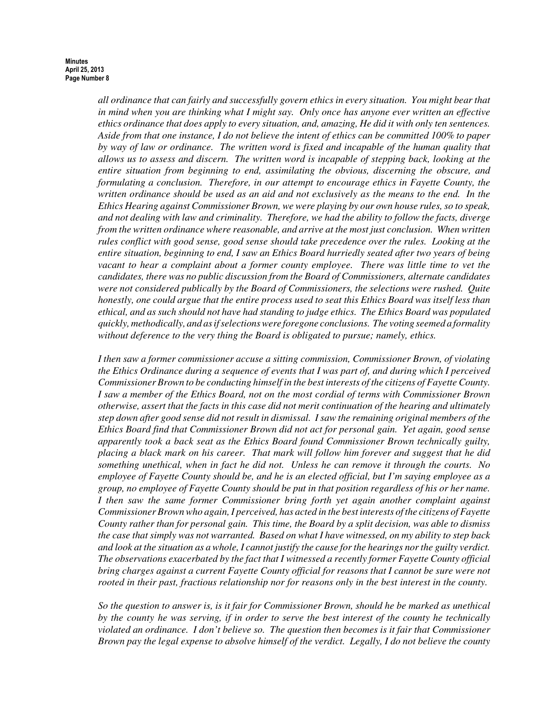*all ordinance that can fairly and successfully govern ethics in every situation. You might bear that in mind when you are thinking what I might say. Only once has anyone ever written an effective ethics ordinance that does apply to every situation, and, amazing, He did it with only ten sentences. Aside from that one instance, I do not believe the intent of ethics can be committed 100% to paper by way of law or ordinance. The written word is fixed and incapable of the human quality that allows us to assess and discern. The written word is incapable of stepping back, looking at the entire situation from beginning to end, assimilating the obvious, discerning the obscure, and formulating a conclusion. Therefore, in our attempt to encourage ethics in Fayette County, the written ordinance should be used as an aid and not exclusively as the means to the end. In the Ethics Hearing against Commissioner Brown, we were playing by our own house rules, so to speak, and not dealing with law and criminality. Therefore, we had the ability to follow the facts, diverge from the written ordinance where reasonable, and arrive at the most just conclusion. When written rules conflict with good sense, good sense should take precedence over the rules. Looking at the entire situation, beginning to end, I saw an Ethics Board hurriedly seated after two years of being vacant to hear a complaint about a former county employee. There was little time to vet the candidates, there was no public discussion from the Board of Commissioners, alternate candidates were not considered publically by the Board of Commissioners, the selections were rushed. Quite honestly, one could argue that the entire process used to seat this Ethics Board was itself less than ethical, and as such should not have had standing to judge ethics. The Ethics Board was populated quickly, methodically, and as if selections were foregone conclusions. The voting seemed a formality without deference to the very thing the Board is obligated to pursue; namely, ethics.* 

*I then saw a former commissioner accuse a sitting commission, Commissioner Brown, of violating the Ethics Ordinance during a sequence of events that I was part of, and during which I perceived Commissioner Brown to be conducting himself in the best interests of the citizens of Fayette County. I saw a member of the Ethics Board, not on the most cordial of terms with Commissioner Brown otherwise, assert that the facts in this case did not merit continuation of the hearing and ultimately step down after good sense did not result in dismissal. I saw the remaining original members of the Ethics Board find that Commissioner Brown did not act for personal gain. Yet again, good sense apparently took a back seat as the Ethics Board found Commissioner Brown technically guilty, placing a black mark on his career. That mark will follow him forever and suggest that he did something unethical, when in fact he did not. Unless he can remove it through the courts. No employee of Fayette County should be, and he is an elected official, but I'm saying employee as a group, no employee of Fayette County should be put in that position regardless of his or her name. I then saw the same former Commissioner bring forth yet again another complaint against Commissioner Brown who again, I perceived, has acted in the best interests of the citizens of Fayette County rather than for personal gain. This time, the Board by a split decision, was able to dismiss the case that simply was not warranted. Based on what I have witnessed, on my ability to step back and look at the situation as a whole, I cannot justify the cause for the hearings nor the guilty verdict. The observations exacerbated by the fact that I witnessed a recently former Fayette County official bring charges against a current Fayette County official for reasons that I cannot be sure were not rooted in their past, fractious relationship nor for reasons only in the best interest in the county.* 

*So the question to answer is, is it fair for Commissioner Brown, should he be marked as unethical by the county he was serving, if in order to serve the best interest of the county he technically violated an ordinance. I don't believe so. The question then becomes is it fair that Commissioner Brown pay the legal expense to absolve himself of the verdict. Legally, I do not believe the county*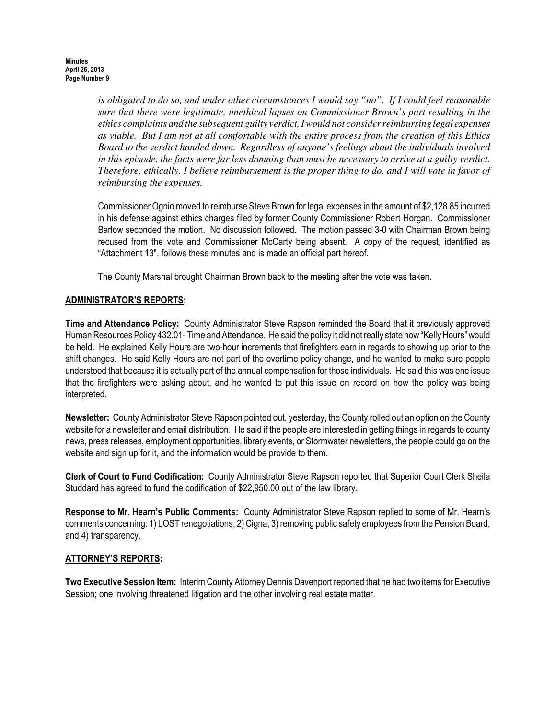*is obligated to do so, and under other circumstances I would say "no". If I could feel reasonable sure that there were legitimate, unethical lapses on Commissioner Brown's part resulting in the ethics complaints and the subsequent guilty verdict, I would not consider reimbursing legal expenses as viable. But I am not at all comfortable with the entire process from the creation of this Ethics Board to the verdict handed down. Regardless of anyone's feelings about the individuals involved in this episode, the facts were far less damning than must be necessary to arrive at a guilty verdict. Therefore, ethically, I believe reimbursement is the proper thing to do, and I will vote in favor of reimbursing the expenses.*

Commissioner Ognio moved to reimburse Steve Brown for legal expenses in the amount of \$2,128.85 incurred in his defense against ethics charges filed by former County Commissioner Robert Horgan. Commissioner Barlow seconded the motion. No discussion followed. The motion passed 3-0 with Chairman Brown being recused from the vote and Commissioner McCarty being absent. A copy of the request, identified as "Attachment 13", follows these minutes and is made an official part hereof.

The County Marshal brought Chairman Brown back to the meeting after the vote was taken.

# ADMINISTRATOR'S REPORTS:

Time and Attendance Policy: County Administrator Steve Rapson reminded the Board that it previously approved Human Resources Policy 432.01- Time and Attendance. He said the policy it did not really state how "Kelly Hours" would be held. He explained Kelly Hours are two-hour increments that firefighters earn in regards to showing up prior to the shift changes. He said Kelly Hours are not part of the overtime policy change, and he wanted to make sure people understood that because it is actually part of the annual compensation for those individuals. He said this was one issue that the firefighters were asking about, and he wanted to put this issue on record on how the policy was being interpreted.

Newsletter: County Administrator Steve Rapson pointed out, yesterday, the County rolled out an option on the County website for a newsletter and email distribution. He said if the people are interested in getting things in regards to county news, press releases, employment opportunities, library events, or Stormwater newsletters, the people could go on the website and sign up for it, and the information would be provide to them.

Clerk of Court to Fund Codification: County Administrator Steve Rapson reported that Superior Court Clerk Sheila Studdard has agreed to fund the codification of \$22,950.00 out of the law library.

Response to Mr. Hearn's Public Comments: County Administrator Steve Rapson replied to some of Mr. Hearn's comments concerning: 1) LOST renegotiations, 2) Cigna, 3) removing public safety employees from the Pension Board, and 4) transparency.

### ATTORNEY'S REPORTS:

Two Executive Session Item: Interim County Attorney Dennis Davenport reported that he had two items for Executive Session; one involving threatened litigation and the other involving real estate matter.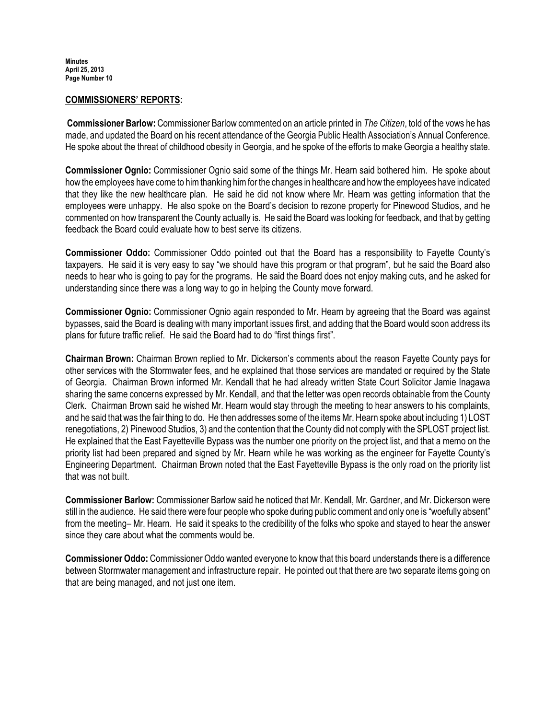#### COMMISSIONERS' REPORTS:

 Commissioner Barlow: Commissioner Barlow commented on an article printed in The Citizen, told of the vows he has made, and updated the Board on his recent attendance of the Georgia Public Health Association's Annual Conference. He spoke about the threat of childhood obesity in Georgia, and he spoke of the efforts to make Georgia a healthy state.

Commissioner Ognio: Commissioner Ognio said some of the things Mr. Hearn said bothered him. He spoke about how the employees have come to him thanking him for the changes in healthcare and how the employees have indicated that they like the new healthcare plan. He said he did not know where Mr. Hearn was getting information that the employees were unhappy. He also spoke on the Board's decision to rezone property for Pinewood Studios, and he commented on how transparent the County actually is. He said the Board was looking for feedback, and that by getting feedback the Board could evaluate how to best serve its citizens.

Commissioner Oddo: Commissioner Oddo pointed out that the Board has a responsibility to Fayette County's taxpayers. He said it is very easy to say "we should have this program or that program", but he said the Board also needs to hear who is going to pay for the programs. He said the Board does not enjoy making cuts, and he asked for understanding since there was a long way to go in helping the County move forward.

Commissioner Ognio: Commissioner Ognio again responded to Mr. Hearn by agreeing that the Board was against bypasses, said the Board is dealing with many important issues first, and adding that the Board would soon address its plans for future traffic relief. He said the Board had to do "first things first".

Chairman Brown: Chairman Brown replied to Mr. Dickerson's comments about the reason Fayette County pays for other services with the Stormwater fees, and he explained that those services are mandated or required by the State of Georgia. Chairman Brown informed Mr. Kendall that he had already written State Court Solicitor Jamie Inagawa sharing the same concerns expressed by Mr. Kendall, and that the letter was open records obtainable from the County Clerk. Chairman Brown said he wished Mr. Hearn would stay through the meeting to hear answers to his complaints, and he said that was the fair thing to do. He then addresses some of the items Mr. Hearn spoke about including 1) LOST renegotiations, 2) Pinewood Studios, 3) and the contention that the County did not comply with the SPLOST project list. He explained that the East Fayetteville Bypass was the number one priority on the project list, and that a memo on the priority list had been prepared and signed by Mr. Hearn while he was working as the engineer for Fayette County's Engineering Department. Chairman Brown noted that the East Fayetteville Bypass is the only road on the priority list that was not built.

Commissioner Barlow: Commissioner Barlow said he noticed that Mr. Kendall, Mr. Gardner, and Mr. Dickerson were still in the audience. He said there were four people who spoke during public comment and only one is "woefully absent" from the meeting– Mr. Hearn. He said it speaks to the credibility of the folks who spoke and stayed to hear the answer since they care about what the comments would be.

Commissioner Oddo: Commissioner Oddo wanted everyone to know that this board understands there is a difference between Stormwater management and infrastructure repair. He pointed out that there are two separate items going on that are being managed, and not just one item.